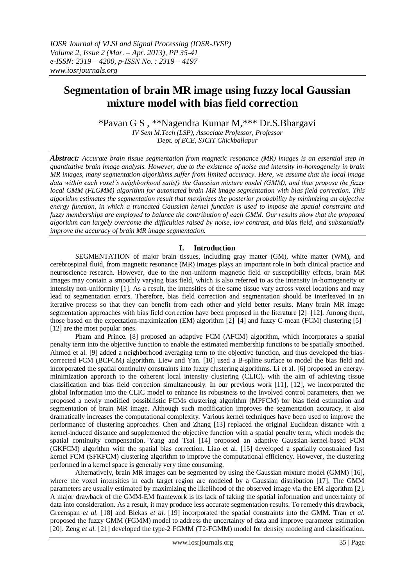# **Segmentation of brain MR image using fuzzy local Gaussian mixture model with bias field correction**

\*Pavan G S , \*\*Nagendra Kumar M,\*\*\* Dr.S.Bhargavi *IV Sem M.Tech (LSP), Associate Professor, Professor*

*Dept. of ECE, SJCIT Chickballapur*

*Abstract: Accurate brain tissue segmentation from magnetic resonance (MR) images is an essential step in quantitative brain image analysis. However, due to the existence of noise and intensity in-homogeneity in brain MR images, many segmentation algorithms suffer from limited accuracy. Here, we assume that the local image data within each voxel's neighborhood satisfy the Gaussian mixture model (GMM), and thus propose the fuzzy local GMM (FLGMM) algorithm for automated brain MR image segmentation with bias field correction. This algorithm estimates the segmentation result that maximizes the posterior probability by minimizing an objective energy function, in which a truncated Gaussian kernel function is used to impose the spatial constraint and fuzzy memberships are employed to balance the contribution of each GMM. Our results show that the proposed algorithm can largely overcome the difficulties raised by noise, low contrast, and bias field, and substantially improve the accuracy of brain MR image segmentation.*

# **I. Introduction**

SEGMENTATION of major brain tissues, including gray matter (GM), white matter (WM), and cerebrospinal fluid, from magnetic resonance (MR) images plays an important role in both clinical practice and neuroscience research. However, due to the non-uniform magnetic field or susceptibility effects, brain MR images may contain a smoothly varying bias field, which is also referred to as the intensity in-homogeneity or intensity non-uniformity [1]. As a result, the intensities of the same tissue vary across voxel locations and may lead to segmentation errors. Therefore, bias field correction and segmentation should be interleaved in an iterative process so that they can benefit from each other and yield better results. Many brain MR image segmentation approaches with bias field correction have been proposed in the literature [2]–[12]. Among them, those based on the expectation-maximization (EM) algorithm [2]–[4] and fuzzy C-mean (FCM) clustering [5]– [12] are the most popular ones.

Pham and Prince. [8] proposed an adaptive FCM (AFCM) algorithm, which incorporates a spatial penalty term into the objective function to enable the estimated membership functions to be spatially smoothed. Ahmed et al. [9] added a neighborhood averaging term to the objective function, and thus developed the biascorrected FCM (BCFCM) algorithm. Liew and Yan. [10] used a B-spline surface to model the bias field and incorporated the spatial continuity constraints into fuzzy clustering algorithms. Li et al. [6] proposed an energyminimization approach to the coherent local intensity clustering (CLIC), with the aim of achieving tissue classification and bias field correction simultaneously. In our previous work [11], [12], we incorporated the global information into the CLIC model to enhance its robustness to the involved control parameters, then we proposed a newly modified possibilistic FCMs clustering algorithm (MPFCM) for bias field estimation and segmentation of brain MR image. Although such modification improves the segmentation accuracy, it also dramatically increases the computational complexity. Various kernel techniques have been used to improve the performance of clustering approaches. Chen and Zhang [13] replaced the original Euclidean distance with a kernel-induced distance and supplemented the objective function with a spatial penalty term, which models the spatial continuity compensation. Yang and Tsai [14] proposed an adaptive Gaussian-kernel-based FCM (GKFCM) algorithm with the spatial bias correction. Liao et al. [15] developed a spatially constrained fast kernel FCM (SFKFCM) clustering algorithm to improve the computational efficiency. However, the clustering performed in a kernel space is generally very time consuming.

Alternatively, brain MR images can be segmented by using the Gaussian mixture model (GMM) [16], where the voxel intensities in each target region are modeled by a Gaussian distribution [17]. The GMM parameters are usually estimated by maximizing the likelihood of the observed image via the EM algorithm [2]. A major drawback of the GMM-EM framework is its lack of taking the spatial information and uncertainty of data into consideration. As a result, it may produce less accurate segmentation results. To remedy this drawback, Greenspan *et al.* [18] and Blekas *et al.* [19] incorporated the spatial constraints into the GMM. Tran *et al.* proposed the fuzzy GMM (FGMM) model to address the uncertainty of data and improve parameter estimation [20]. Zeng *et al.* [21] developed the type-2 FGMM (T2-FGMM) model for density modeling and classification.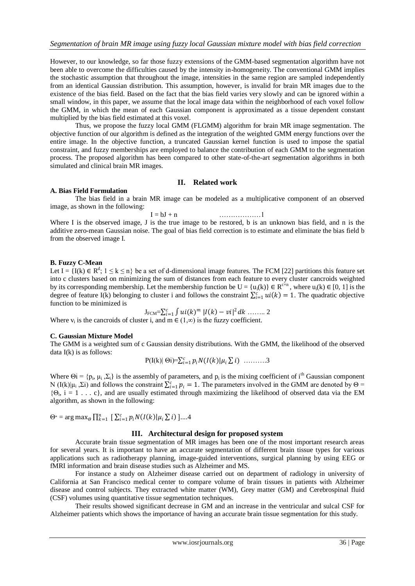However, to our knowledge, so far those fuzzy extensions of the GMM-based segmentation algorithm have not been able to overcome the difficulties caused by the intensity in-homogeneity. The conventional GMM implies the stochastic assumption that throughout the image, intensities in the same region are sampled independently from an identical Gaussian distribution. This assumption, however, is invalid for brain MR images due to the existence of the bias field. Based on the fact that the bias field varies very slowly and can be ignored within a small window, in this paper, we assume that the local image data within the neighborhood of each voxel follow the GMM, in which the mean of each Gaussian component is approximated as a tissue dependent constant multiplied by the bias field estimated at this voxel.

Thus, we propose the fuzzy local GMM (FLGMM) algorithm for brain MR image segmentation. The objective function of our algorithm is defined as the integration of the weighted GMM energy functions over the entire image. In the objective function, a truncated Gaussian kernel function is used to impose the spatial constraint, and fuzzy memberships are employed to balance the contribution of each GMM to the segmentation process. The proposed algorithm has been compared to other state-of-the-art segmentation algorithms in both simulated and clinical brain MR images.

# **II. Related work**

## **A. Bias Field Formulation**

The bias field in a brain MR image can be modeled as a multiplicative component of an observed image, as shown in the following:

$$
I = bJ + n \qquad \qquad \ldots \ldots \ldots \ldots \ldots \ldots \ldots \ldots
$$

Where I is the observed image, J is the true image to be restored, b is an unknown bias field, and n is the additive zero-mean Gaussian noise. The goal of bias field correction is to estimate and eliminate the bias field b from the observed image I.

# **B. Fuzzy C-Mean**

Let I = {I(k)  $\in$  R<sup>d</sup>; 1  $\le$  k  $\le$  n} be a set of d-dimensional image features. The FCM [22] partitions this feature set into c clusters based on minimizing the sum of distances from each feature to every cluster cancroids weighted by its corresponding membership. Let the membership function be  $U = \{u_i(k)\}\in R^{\infty}$ , where  $u_i(k) \in [0, 1]$  is the degree of feature I(k) belonging to cluster i and follows the constraint  $\sum_{i=1}^{c}ui(k) = 1$ . The quadratic objective function to be minimized is

JFCM= () =1 | − | <sup>2</sup> …….. 2

Where  $v_i$  is the cancroids of cluster i, and  $m \in (1,\infty)$  is the fuzzy coefficient.

# **C. Gaussian Mixture Model**

The GMM is a weighted sum of c Gaussian density distributions. With the GMM, the likelihood of the observed data I(k) is as follows:

$$
P(I(k)|\Theta i)=\sum_{i=1}^c p_i N(I(k)|\mu_i \Sigma i) \quad \dots \dots \dots 3
$$

Where  $\Theta$ i = { $p_i$ ,  $\mu_i$ ,  $\Sigma_i$ } is the assembly of parameters, and  $p_i$  is the mixing coefficient of i<sup>th</sup> Gaussian component N (I(k)| $\mu_i$ ,  $\Sigma$ i) and follows the constraint  $\sum_{i=1}^c p_i = 1$ . The parameters involved in the GMM are denoted by  $\Theta$  =  $\{\Theta_i, i = 1, \ldots, c\}$ , and are usually estimated through maximizing the likelihood of observed data via the EM algorithm, as shown in the following:

Θ<sup>∗</sup> = arg max<sub>θ</sub>  $\prod_{k=1}^{n}$  [  $\sum_{i=1}^{c} p_i N(I(k)|\mu_i \sum i)$  ]....4

# **III. Architectural design for proposed system**

Accurate brain tissue segmentation of MR images has been one of the most important research areas for several years. It is important to have an accurate segmentation of different brain tissue types for various applications such as radiotherapy planning, image-guided interventions, surgical planning by using EEG or fMRI information and brain disease studies such as Alzheimer and MS.

For instance a study on Alzheimer disease carried out on department of radiology in university of California at San Francisco medical center to compare volume of brain tissues in patients with Alzheimer disease and control subjects. They extracted white matter (WM), Grey matter (GM) and Cerebrospinal fluid (CSF) volumes using quantitative tissue segmentation techniques.

Their results showed significant decrease in GM and an increase in the ventricular and sulcal CSF for Alzheimer patients which shows the importance of having an accurate brain tissue segmentation for this study.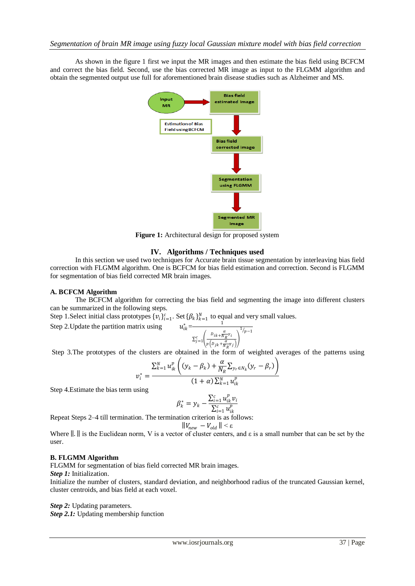As shown in the figure 1 first we input the MR images and then estimate the bias field using BCFCM and correct the bias field. Second, use the bias corrected MR image as input to the FLGMM algorithm and obtain the segmented output use full for aforementioned brain disease studies such as Alzheimer and MS.



**Figure 1:** Architectural design for proposed system

# **IV. Algorithms / Techniques used**

In this section we used two techniques for Accurate brain tissue segmentation by interleaving bias field correction with FLGMM algorithm. One is BCFCM for bias field estimation and correction. Second is FLGMM for segmentation of bias field corrected MR brain images.

# **A. BCFCM Algorithm**

The BCFCM algorithm for correcting the bias field and segmenting the image into different clusters can be summarized in the following steps.

Step 1. Select initial class prototypes  $\{v_i\}_{i=1}^c$ . Set  $\{\beta_k\}_{k=1}^N$  to equal and very small values.

Step 2. Update the partition matrix using  $u_{ik}^* = \frac{1}{\sqrt{1 - \frac{1}{\sqrt{1 - \frac{1}{\sqrt{1 - \frac{1}{\sqrt{1 - \frac{1}{\sqrt{1 - \frac{1}{\sqrt{1 - \frac{1}{\sqrt{1 - \frac{1}{\sqrt{1 - \frac{1}{\sqrt{1 - \frac{1}{\sqrt{1 - \frac{1}{\sqrt{1 - \frac{1}{\sqrt{1 - \frac{1}{\sqrt{1 - \frac{1}{\sqrt{1 - \frac{1}{\sqrt{1 - \frac{1}{\sqrt{1 - \frac{1}{\sqrt{1 - \$ 

$$
-\frac{1}{\sum_{j=1}^{c} \left(\frac{D_{ik} + \frac{\alpha}{N_R}v_i}{p\left(D_{jk} + \frac{\alpha}{N_R}v_j\right)}\right)^{1/p-1}}
$$

Step 3.The prototypes of the clusters are obtained in the form of weighted averages of the patterns using

$$
v_i^* = \frac{\sum_{k=1}^{N} u_{ik}^p \left( (y_k - \beta_k) + \frac{\alpha}{N_R} \sum_{y_r \in N_k} (y_r - \beta_r) \right)}{(1 + \alpha) \sum_{k=1}^{N} u_{ik}^p}
$$

Step 4.Estimate the bias term using

$$
\beta_k^* = y_k - \frac{\sum_{i=1}^c u_{ik}^p v_i}{\sum_{i=1}^c u_{ik}^p}
$$

Repeat Steps 2–4 till termination. The termination criterion is as follows:  $\left\|V_{new} \right. - V_{old} \left\| < \varepsilon \right.$ 

Where  $\|.\|$  is the Euclidean norm, V is a vector of cluster centers, and  $\varepsilon$  is a small number that can be set by the user.

# **B. FLGMM Algorithm**

FLGMM for segmentation of bias field corrected MR brain images.

*Step 1:* Initialization.

Initialize the number of clusters, standard deviation, and neighborhood radius of the truncated Gaussian kernel, cluster centroids, and bias field at each voxel.

# *Step 2:* Updating parameters.

*Step 2.1:* Updating membership function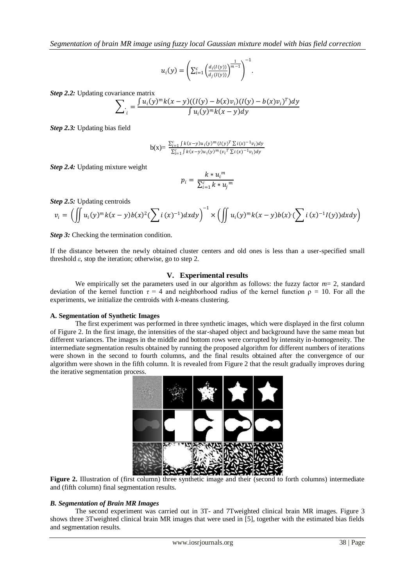$$
u_i(y) = \left(\sum_{i=1}^c \left(\frac{d_i(l(y))}{d_j(l(y))}\right)^{\frac{1}{m-1}}\right)^{-1}.
$$

*Step 2.2:* Updating covariance matrix

$$
\sum_{i} = \frac{\int u_i(y)^m k(x-y)((I(y) - b(x)v_i)(I(y) - b(x)v_i)^T)dy}{\int u_i(y)^m k(x-y)dy}
$$

*Step 2.3:* Updating bias field

$$
b(x) = \frac{\sum_{i=1}^{c} \int k(x-y) u_i(y)^m (I(y)^T \sum i(x)^{-1} v_i) dy}{\sum_{i=1}^{c} \int k(x-y) u_i(y)^m (v_i^T \sum i(x)^{-1} v_i) dy}
$$

*Step 2.4:* Updating mixture weight

$$
p_i = \frac{k * u_i^m}{\sum_{i=1}^c k * u_j^m}
$$

*Step 2.5:* Updating centroids

$$
v_i = \left( \iint u_i(y)^m k(x-y) b(x)^2 (\sum i (x)^{-1}) dx dy \right)^{-1} \times \left( \iint u_i(y)^m k(x-y) b(x) (\sum i (x)^{-1} I(y)) dx dy \right)
$$

**Step 3:** Checking the termination condition.

If the distance between the newly obtained cluster centers and old ones is less than a user-specified small threshold  $\varepsilon$ , stop the iteration; otherwise, go to step 2.

# **V. Experimental results**

We empirically set the parameters used in our algorithm as follows: the fuzzy factor  $m=2$ , standard deviation of the kernel function  $\tau = 4$  and neighborhood radius of the kernel function  $\rho = 10$ . For all the experiments, we initialize the centroids with *k*-means clustering.

## **A. Segmentation of Synthetic Images**

The first experiment was performed in three synthetic images, which were displayed in the first column of Figure 2. In the first image, the intensities of the star-shaped object and background have the same mean but different variances. The images in the middle and bottom rows were corrupted by intensity in-homogeneity. The intermediate segmentation results obtained by running the proposed algorithm for different numbers of iterations were shown in the second to fourth columns, and the final results obtained after the convergence of our algorithm were shown in the fifth column. It is revealed from Figure 2 that the result gradually improves during the iterative segmentation process.



Figure 2. Illustration of (first column) three synthetic image and their (second to forth columns) intermediate and (fifth column) final segmentation results.

#### *B. Segmentation of Brain MR Images*

The second experiment was carried out in 3T- and 7Tweighted clinical brain MR images. Figure 3 shows three 3Tweighted clinical brain MR images that were used in [5], together with the estimated bias fields and segmentation results.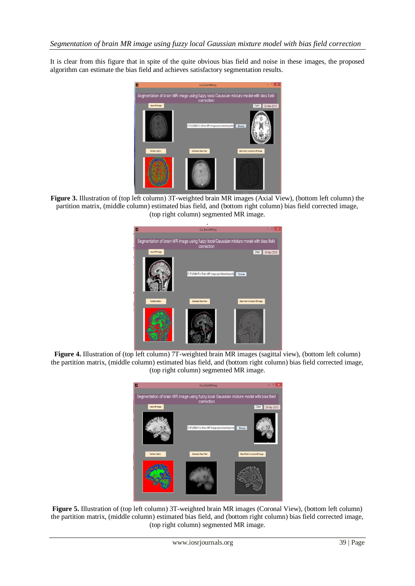It is clear from this figure that in spite of the quite obvious bias field and noise in these images, the proposed algorithm can estimate the bias field and achieves satisfactory segmentation results.



**Figure 3.** Illustration of (top left column) 3T-weighted brain MR images [\(Axial View\)](http://www.med.wayne.edu/diagradiology/anatomy_modules/brain/Brainaxial.html), (bottom left column) the partition matrix, (middle column) estimated bias field, and (bottom right column) bias field corrected image, (top right column) segmented MR image.



**Figure 4.** Illustration of (top left column) 7T-weighted brain MR images (sagittal view), (bottom left column) the partition matrix, (middle column) estimated bias field, and (bottom right column) bias field corrected image, (top right column) segmented MR image.



**Figure 5.** Illustration of (top left column) 3T-weighted brain MR images (Coronal View), (bottom left column) the partition matrix, (middle column) estimated bias field, and (bottom right column) bias field corrected image, (top right column) segmented MR image.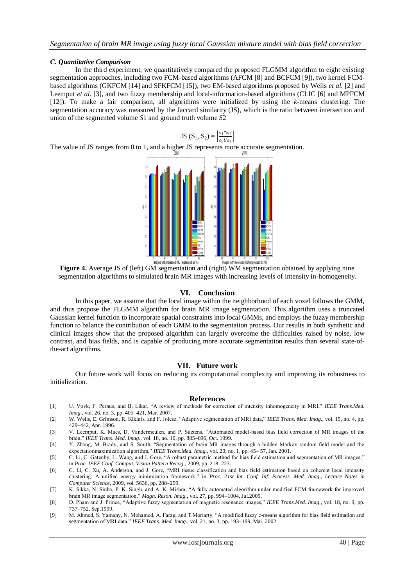# *C. Quantitative Comparison*

In the third experiment, we quantitatively compared the proposed FLGMM algorithm to eight existing segmentation approaches, including two FCM-based algorithms (AFCM [8] and BCFCM [9]), two kernel FCMbased algorithms (GKFCM [14] and SFKFCM [15]), two EM-based algorithms proposed by Wells *et al.* [2] and Leemput *et al.* [3], and two fuzzy membership and local-information-based algorithms (CLIC [6] and MPFCM [12]). To make a fair comparison, all algorithms were initialized by using the *k*-means clustering. The segmentation accuracy was measured by the Jaccard similarity (JS), which is the ratio between intersection and union of the segmented volume *S*1 and ground truth volume *S*2

JS  $(S_1, S_2) = \frac{s_1 \cap s_2}{s_1 H s_2}$  $\frac{s_1+s_2}{s_1Us_2}$ The value of JS ranges from 0 to 1, and a higher JS represents more accurate segmentation.



**Figure 4.** Average JS of (left) GM segmentation and (right) WM segmentation obtained by applying nine segmentation algorithms to simulated brain MR images with increasing levels of intensity in-homogeneity.

## **VI. Conclusion**

In this paper, we assume that the local image within the neighborhood of each voxel follows the GMM, and thus propose the FLGMM algorithm for brain MR image segmentation. This algorithm uses a truncated Gaussian kernel function to incorporate spatial constraints into local GMMs, and employs the fuzzy membership function to balance the contribution of each GMM to the segmentation process. Our results in both synthetic and clinical images show that the proposed algorithm can largely overcome the difficulties raised by noise, low contrast, and bias fields, and is capable of producing more accurate segmentation results than several state-ofthe-art algorithms.

#### **VII. Future work**

Our future work will focus on reducing its computational complexity and improving its robustness to initialization.

#### **References**

- [1] U. Vovk, F. Pernus, and B. Likar, "A review of methods for correction of intensity inhomogeneity in MRI," *IEEE Trans.Med. Imag.*, vol. 26, no. 3, pp. 405–421, Mar. 2007.
- [2] W. Wells, E. Grimson, R. Kikinis, and F. Jolesz, "Adaptive segmentation of MRI data," *IEEE Trans. Med. Imag.*, vol. 15, no. 4, pp. 429–442, Apr. 1996.
- [3] V. Leemput, K. Maes, D. Vandermeulen, and P. Suetens, "Automated model-based bias field correction of MR images of the brain," *IEEE Trans. Med. Imag.*, vol. 18, no. 10, pp. 885–896, Oct. 1999.
- [4] Y. Zhang, M. Brady, and S. Smith, "Segmentation of brain MR images through a hidden Markov random field model and the expectationmaximization algorithm," IEEE Trans.Med. Imag., vol. 20, no. 1, pp. 45- 57, Jan. 2001.
- [5] C. Li, C. Gatenby, L. Wang, and J. Gore, "A robust parametric method for bias field estimation and segmentation of MR images," in *Proc. IEEE Conf. Comput. Vision Pattern Recog.*, 2009, pp. 218–223.
- [6] C. Li, C. Xu, A. Anderson, and J. Gore, "MRI tissue classification and bias field estimation based on coherent local intensity clustering: A unified energy minimization framework," in *Proc. 21st Int. Conf. Inf. Process. Med. Imag., Lecture Notes in Computer Science*, 2009, vol. 5636, pp. 288–299.
- [7] K. Sikka, N. Sinha, P. K. Singh, and A. K. Mishra, "A fully automated algorithm under modified FCM framework for improved brain MR image segmentation," *Magn. Reson. Imag.*, vol. 27, pp. 994–1004, Jul.2009.
- [8] D. Pham and J. Prince, "Adaptive fuzzy segmentation of magnetic resonance images," *IEEE Trans.Med. Imag.*, vol. 18, no. 9, pp. 737–752, Sep.1999.
- [9] M. Ahmed, S. Yamany, N. Mohamed, A. Farag, and T.Moriarty, "A modified fuzzy c-means algorithm for bias field estimation and segmentation of MRI data," *IEEE Trans. Med. Imag.*, vol. 21, no. 3, pp. 193–199, Mar. 2002.